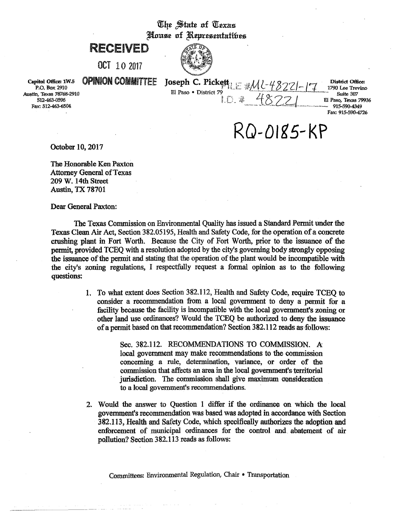## The State of Texas House of Representatibes

# RECEIVED

OCT 10 2017



Capitol Office: 1W.5 P.O. Box 2910 Austin, Texas 78768-2910 512-463-0596 Fax: 512-463-6504

### **OPINION COMMITTEE**

Joseph C. Pickett<sub>le</sub> MU-48221-El Paso · District 79

**District Office:** 1790 Lee Trevino Suite 307 El Paso, Texas 79936 915-590-4349 Fax: 915-590-4726

 $RO-O185-KP$ 

 $10.24$  48721

October 10, 2017

The Honorable Ken Paxton **Attorney General of Texas** 209 W. 14th Street **Austin, TX 78701** 

Dear General Paxton:

The Texas Commission on Environmental Quality has issued a Standard Permit under the Texas Clean Air Act, Section 382.05195, Health and Safety Code, for the operation of a concrete crushing plant in Fort Worth. Because the City of Fort Worth, prior to the issuance of the permit, provided TCEO with a resolution adopted by the city's governing body strongly opposing the issuance of the permit and stating that the operation of the plant would be incompatible with the city's zoning regulations. I respectfully request a formal opinion as to the following questions:

> 1. To what extent does Section 382.112, Health and Safety Code, require TCEO to consider a recommendation from a local government to deny a permit for a facility because the facility is incompatible with the local government's zoning or other land use ordinances? Would the TCEQ be authorized to deny the issuance of a permit based on that recommendation? Section 382.112 reads as follows:

> > Sec. 382.112. RECOMMENDATIONS TO COMMISSION. A local government may make recommendations to the commission concerning a rule, determination, variance, or order of the commission that affects an area in the local government's territorial jurisdiction. The commission shall give maximum consideration to a local government's recommendations.

2. Would the answer to Ouestion 1 differ if the ordinance on which the local government's recommendation was based was adopted in accordance with Section 382.113, Health and Safety Code, which specifically authorizes the adoption and enforcement of municipal ordinances for the control and abatement of air pollution? Section 382.113 reads as follows: